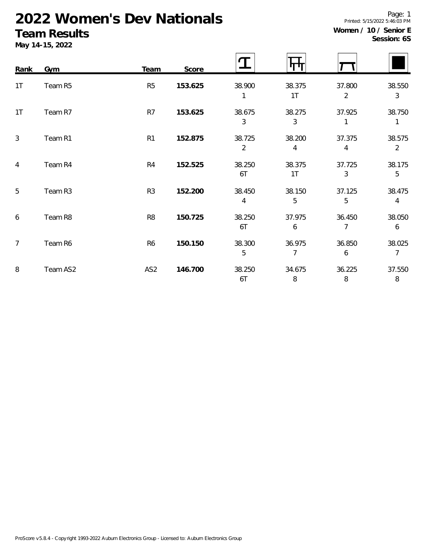# **2022 Women's Dev Nationals**

### **Team Results**

**May 14-15, 2022**

| Rank           | Gym      | Team            | Score   |                          |                          |                            |                          |
|----------------|----------|-----------------|---------|--------------------------|--------------------------|----------------------------|--------------------------|
| 1T             | Team R5  | R <sub>5</sub>  | 153.625 | 38.900                   | 38.375<br>1T             | 37.800<br>$\overline{2}$   | 38.550<br>$\mathfrak{Z}$ |
| 1T             | Team R7  | R7              | 153.625 | 38.675<br>3              | 38.275<br>3              | 37.925<br>1                | 38.750<br>1              |
| $\mathfrak{Z}$ | Team R1  | R1              | 152.875 | 38.725<br>$\overline{2}$ | 38.200<br>4              | 37.375<br>4                | 38.575<br>$\overline{2}$ |
| $\overline{4}$ | Team R4  | R <sub>4</sub>  | 152.525 | 38.250<br>6T             | 38.375<br>1 <sup>T</sup> | 37.725<br>3                | 38.175<br>5              |
| 5              | Team R3  | R <sub>3</sub>  | 152.200 | 38.450<br>4              | 38.150<br>5              | 37.125<br>5                | 38.475<br>4              |
| 6              | Team R8  | R <sub>8</sub>  | 150.725 | 38.250<br>6T             | 37.975<br>6              | 36.450<br>$\overline{7}$   | 38.050<br>6              |
| $\overline{7}$ | Team R6  | R <sub>6</sub>  | 150.150 | 38.300<br>5              | 36.975<br>7              | 36.850<br>$\boldsymbol{6}$ | 38.025<br>$\overline{7}$ |
| 8              | Team AS2 | AS <sub>2</sub> | 146.700 | 38.250<br>6T             | 34.675<br>8              | 36.225<br>8                | 37.550<br>$\, 8$         |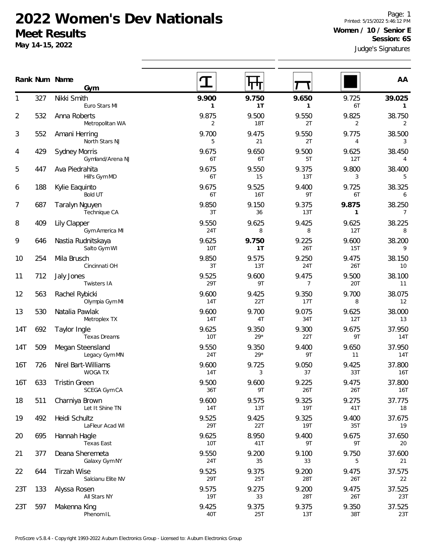#### **2022 Women's Dev Nationals Meet Results**

**Gym**

**May 14-15, 2022**

327 Nikki Smith

Judge's Signatures Page: 1 Printed: 5/15/2022 5:46:12 PM **Women / 10 / Senior E Session: 6S**

|                |     | Euro Stars MI                            | $\mathbf{1}$        | 1T                  | 1                   | 6T                      | $\mathbf{1}$             |
|----------------|-----|------------------------------------------|---------------------|---------------------|---------------------|-------------------------|--------------------------|
| $\overline{2}$ | 532 | Anna Roberts<br>Metropolitan WA          | 9.875<br>2          | 9.500<br><b>18T</b> | 9.550<br>2T         | 9.825<br>$\overline{2}$ | 38.750<br>2              |
| 3              | 552 | Amani Herring<br>North Stars NJ          | 9.700<br>5          | 9.475<br>21         | 9.550<br>2T         | 9.775<br>$\overline{4}$ | 38.500<br>3              |
| 4              | 429 | <b>Sydney Morris</b><br>Gymland/Arena NJ | 9.675<br>6T         | 9.650<br>6T         | 9.500<br>5T         | 9.625<br>12T            | 38.450<br>4              |
| 5              | 447 | Ava Piedrahita<br>Hill's Gym MD          | 9.675<br>6T         | 9.550<br>15         | 9.375<br>13T        | 9.800<br>3              | 38.400<br>5              |
| 6              | 188 | Kylie Eaquinto<br><b>Bold UT</b>         | 9.675<br>6T         | 9.525<br><b>16T</b> | 9.400<br>9T         | 9.725<br>6T             | 38.325<br>6              |
| 7              | 687 | Taralyn Nguyen<br>Technique CA           | 9.850<br>3T         | 9.150<br>36         | 9.375<br>13T        | 9.875<br>$\mathbf{1}$   | 38.250<br>$\overline{7}$ |
| 8              | 409 | <b>Lily Clapper</b><br>Gym America MI    | 9.550<br>24T        | 9.625<br>8          | 9.425<br>8          | 9.625<br>12T            | 38.225<br>8              |
| 9              | 646 | Nastia Rudnitskaya<br>Salto Gym WI       | 9.625<br>10T        | 9.750<br>1T         | 9.225<br>26T        | 9.600<br>15T            | 38.200<br>9              |
| 10             | 254 | Mila Brusch<br>Cincinnati OH             | 9.850<br>3T         | 9.575<br>13T        | 9.250<br>24T        | 9.475<br>26T            | 38.150<br>10             |
| 11             | 712 | Jaly Jones<br>Twisters IA                | 9.525<br>29T        | 9.600<br>9T         | 9.475<br>7          | 9.500<br>20T            | 38.100<br>11             |
| 12             | 563 | Rachel Rybicki<br>Olympia Gym MI         | 9.600<br><b>14T</b> | 9.425<br>22T        | 9.350<br>17T        | 9.700<br>8              | 38.075<br>12             |
| 13             | 530 | Natalia Pawlak<br>Metroplex TX           | 9.600<br>14T        | 9.700<br>4T         | 9.075<br>34T        | 9.625<br>12T            | 38.000<br>13             |
| 14T            | 692 | Taylor Ingle<br>Texas Dreams             | 9.625<br>10T        | 9.350<br>$29*$      | 9.300<br>22T        | 9.675<br>9T             | 37.950<br>14T            |
| 14T            | 509 | Megan Steensland<br>Legacy Gym MN        | 9.550<br>24T        | 9.350<br>$29*$      | 9.400<br>9T         | 9.650<br>11             | 37.950<br>14T            |
| 16T            | 726 | Nirel Bart-Williams<br>WOGA TX           | 9.600<br>14T        | 9.725<br>3          | 9.050<br>37         | 9.425<br>33T            | 37.800<br>16T            |
| 16T            | 633 | <b>Tristin Green</b><br>SCEGA Gym CA     | 9.500<br>36T        | 9.600<br>9T         | 9.225<br>26T        | 9.475<br>26T            | 37.800<br>16T            |
| 18             | 511 | Charniya Brown<br>Let It Shine TN        | 9.600<br>14T        | 9.575<br>13T        | 9.325<br><b>19T</b> | 9.275<br>41T            | 37.775<br>18             |
| 19             | 492 | Heidi Schultz<br>LaFleur Acad WI         | 9.525<br>29T        | 9.425<br>22T        | 9.325<br><b>19T</b> | 9.400<br>35T            | 37.675<br>19             |
| 20             | 695 | Hannah Hagle<br>Texas East               | 9.625<br>10T        | 8.950<br>41T        | 9.400<br>9Τ         | 9.675<br>9T             | 37.650<br>20             |
| 21             | 377 | Deana Sheremeta<br>Galaxy Gym NY         | 9.550<br>24T        | 9.200<br>35         | 9.100<br>33         | 9.750<br>5              | 37.600<br>21             |
| 22             | 644 | <b>Tirzah Wise</b><br>Salcianu Elite NV  | 9.525<br>29T        | 9.375<br>25T        | 9.200<br>28T        | 9.475<br>26T            | 37.575<br>22             |
| 23T            | 133 | Alyssa Rosen<br>All Stars NY             | 9.575<br>19T        | 9.275<br>33         | 9.200<br>28T        | 9.475<br>26T            | 37.525<br>23T            |
| 23T            | 597 | Makenna King<br>Phenom IL                | 9.425<br>40T        | 9.375<br>25T        | 9.375<br>13T        | 9.350<br>38T            | 37.525<br>23T            |
|                |     |                                          |                     |                     |                     |                         |                          |

**Num Name Rank AA**

1 **9.900 9.750 9.650** 9.725 **39.025**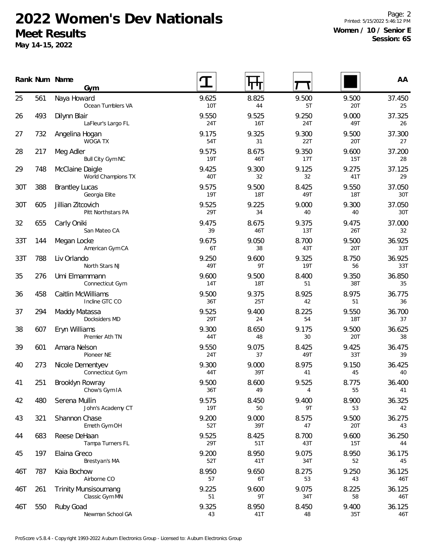## **2022 Women's Dev Nationals Meet Results**

**May 14-15, 2022**

Page: 2 Printed: 5/15/2022 5:46:12 PM **Women / 10 / Senior E Session: 6S**

|     |     | Rank Num Name<br>Gym                          |                     |                     |              |                     | AA            |
|-----|-----|-----------------------------------------------|---------------------|---------------------|--------------|---------------------|---------------|
| 25  | 561 | Naya Howard<br>Ocean Tumblers VA              | 9.625<br>10T        | 8.825<br>44         | 9.500<br>5T  | 9.500<br>20T        | 37.450<br>25  |
| 26  | 493 | Dilynn Blair<br>LaFleur's Largo FL            | 9.550<br>24T        | 9.525<br>16T        | 9.250<br>24T | 9.000<br>49T        | 37.325<br>26  |
| 27  | 732 | Angelina Hogan<br><b>WOGA TX</b>              | 9.175<br>54T        | 9.325<br>31         | 9.300<br>22T | 9.500<br>20T        | 37.300<br>27  |
| 28  | 217 | Meg Adler<br>Bull City Gym NC                 | 9.575<br><b>19T</b> | 8.675<br>46T        | 9.350<br>17T | 9.600<br>15T        | 37.200<br>28  |
| 29  | 748 | McClaine Daigle<br>World Champions TX         | 9.425<br>40T        | 9.300<br>32         | 9.125<br>32  | 9.275<br>41T        | 37.125<br>29  |
| 30T | 388 | <b>Brantley Lucas</b><br>Georgia Elite        | 9.575<br><b>19T</b> | 9.500<br><b>18T</b> | 8.425<br>49T | 9.550<br><b>18T</b> | 37.050<br>30T |
| 30T | 605 | Jillian Zitcovich<br>Pitt Northstars PA       | 9.525<br>29T        | 9.225<br>34         | 9.000<br>40  | 9.300<br>40         | 37.050<br>30T |
| 32  | 655 | Carly Oniki<br>San Mateo CA                   | 9.475<br>39         | 8.675<br>46T        | 9.375<br>13T | 9.475<br>26T        | 37.000<br>32  |
| 33T | 144 | Megan Locke<br>American Gym CA                | 9.675<br>6T         | 9.050<br>38         | 8.700<br>43T | 9.500<br>20T        | 36.925<br>33T |
| 33T | 788 | Liv Orlando<br>North Stars NJ                 | 9.250<br>49T        | 9.600<br>9T         | 9.325<br>19T | 8.750<br>56         | 36.925<br>33T |
| 35  | 276 | Umi Elmammann<br>Connecticut Gym              | 9.600<br><b>14T</b> | 9.500<br><b>18T</b> | 8.400<br>51  | 9.350<br>38T        | 36.850<br>35  |
| 36  | 458 | Caitlin McWilliams<br>Incline GTC CO          | 9.500<br>36T        | 9.375<br>25T        | 8.925<br>42  | 8.975<br>51         | 36.775<br>36  |
| 37  | 294 | Maddy Matassa<br>Docksiders MD                | 9.525<br>29T        | 9.400<br>24         | 8.225<br>54  | 9.550<br><b>18T</b> | 36.700<br>37  |
| 38  | 607 | Eryn Williams<br>Premier Ath TN               | 9.300<br>44T        | 8.650<br>48         | 9.175<br>30  | 9.500<br>20T        | 36.625<br>38  |
| 39  | 601 | Amara Nelson<br>Pioneer NE                    | 9.550<br>24T        | 9.075<br>37         | 8.425<br>49T | 9.425<br>33T        | 36.475<br>39  |
| 40  | 273 | Nicole Dementyev<br>Connecticut Gym           | 9.300<br>44T        | 9.000<br>39T        | 8.975<br>41  | 9.150<br>45         | 36.425<br>40  |
| 41  | 251 | Brooklyn Rowray<br>Chow's Gym IA              | 9.500<br>36T        | 8.600<br>49         | 9.525<br>4   | 8.775<br>55         | 36.400<br>41  |
| 42  | 480 | Serena Mullin<br>John's Academy CT            | 9.575<br><b>19T</b> | 8.450<br>50         | 9.400<br>9T  | 8.900<br>53         | 36.325<br>42  |
| 43  | 321 | Shannon Chase<br>Emeth Gym OH                 | 9.200<br>52T        | 9.000<br>39T        | 8.575<br>47  | 9.500<br>20T        | 36.275<br>43  |
| 44  | 683 | Reese DeHaan<br>Tampa Turners FL              | 9.525<br>29T        | 8.425<br>51T        | 8.700<br>43T | 9.600<br>15T        | 36.250<br>44  |
| 45  | 197 | Elaina Greco<br>Brestyan's MA                 | 9.200<br>52T        | 8.950<br>41T        | 9.075<br>34T | 8.950<br>52         | 36.175<br>45  |
| 46T | 787 | Kaia Bochow<br>Airborne CO                    | 8.950<br>57         | 9.650<br>6T         | 8.275<br>53  | 9.250<br>43         | 36.125<br>46T |
| 46T | 261 | <b>Trinity Munsisoumang</b><br>Classic Gym MN | 9.225<br>51         | 9.600<br>9T         | 9.075<br>34T | 8.225<br>58         | 36.125<br>46T |
| 46T | 550 | Ruby Goad<br>Newman School GA                 | 9.325<br>43         | 8.950<br>41T        | 8.450<br>48  | 9.400<br>35T        | 36.125<br>46T |